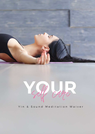

P Cane

## Yin & Sound Meditation Waiver